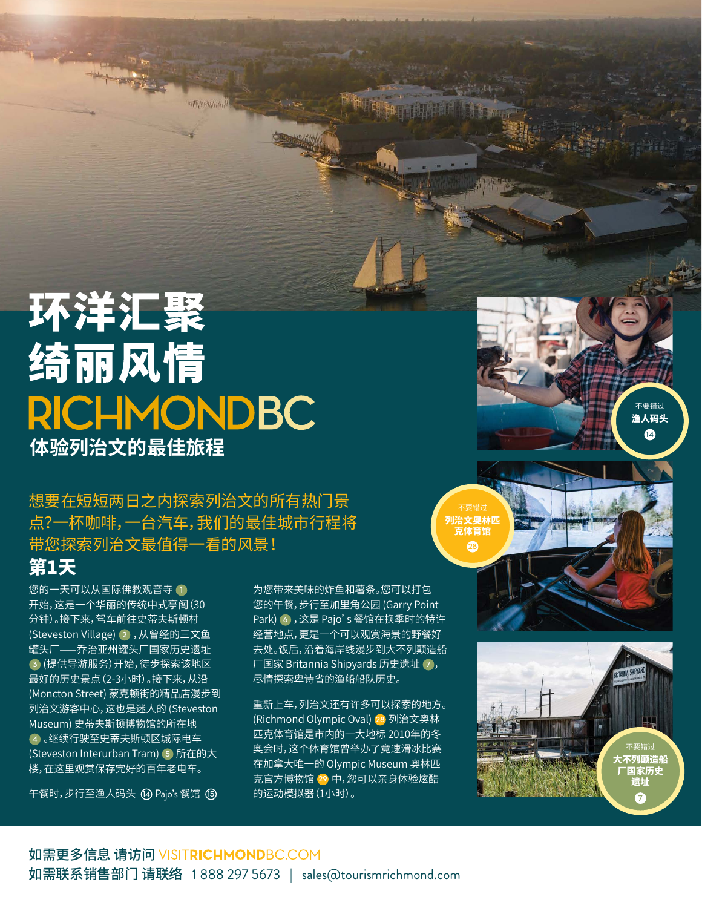## 环洋汇聚 绮丽风情 **RICHMONDBC 体验列治文的最佳旅程**

想要在短短两日之内探索列治文的所有热门景 点?一杯咖啡,一台汽车,我们的最佳城市行程将 带您探索列治文最值得一看的风景!

## 第1天

您的一天可以从国际佛教观音寺 **1** 开始,这是一个华丽的传统中式亭阁(30 分钟)。接下来,驾车前往史蒂夫斯顿村 (Steveston Village) **2** ,从曾经的三文鱼 罐头厂——乔治亚州罐头厂国家历史遗址 **3** (提供导游服务)开始,徒步探索该地区 最好的历史景点(2-3小时)。接下来,从沿 (Moncton Street) 蒙克顿街的精品店漫步到 列治文游客中心,这也是迷人的 (Steveston Museum) 史蒂夫斯顿博物馆的所在地 **4** 。继续行驶至史蒂夫斯顿区城际电车 (Steveston Interurban Tram) **5** 所在的大 楼,在这里观赏保存完好的百年老电车。

午餐时,步行至渔人码头 **<sup>14</sup>** Pajo's 餐馆 **<sup>15</sup>**

为您带来美味的炸鱼和薯条。您可以打包 您的午餐,步行至加里角公园 (Garry Point Park) **6** ,这是 Pajo's 餐馆在换季时的特许 经营地点,更是一个可以观赏海景的野餐好 去处。饭后,沿着海岸线漫步到大不列颠造船 厂国家 Britannia Shipyards 历史遗址 **7** , 尽情探索卑诗省的渔船船队历史。

重新上车,列治文还有许多可以探索的地方。 (Richmond Olympic Oval) **28** 列治文奥林 匹克体育馆是市内的一大地标 2010年的冬 奥会时,这个体育馆曾举办了竞速滑冰比赛 在加拿大唯一的 Olympic Museum 奥林匹 克官方博物馆 **29** 中,您可以亲身体验炫酷 的运动模拟器(1小时)。



不要错过 大不列颠造船 厂国家历史 遗址 **7**

不要错过 渔人码头 **12**